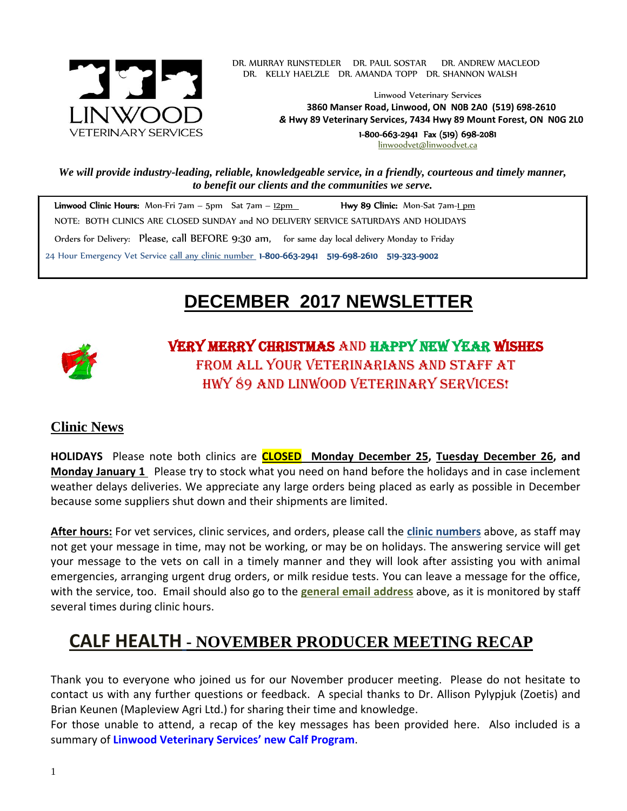

. DR. MURRAY RUNSTEDLER DR. PAUL SOSTAR DR. ANDREW MACLEOD DR. KELLY HAELZLE DR. AMANDA TOPP DR. SHANNON WALSH

> Linwood Veterinary Services **3860 Manser Road, Linwood, ON N0B 2A0 (519) 698-2610** *&* **Hwy 89 Veterinary Services, 7434 Hwy 89 Mount Forest, ON N0G 2L0** 1-800-663-2941 Fax (519) 698-2081

[linwoodvet@linwoodvet.ca](mailto:linwoodvet@linwoodvet.ca)

*We will provide industry-leading, reliable, knowledgeable service, in a friendly, courteous and timely manner, to benefit our clients and the communities we serve.*

Linwood Clinic Hours: Mon-Fri 7am – 5pm Sat 7am – 12pm **Hwy 89 Clinic:** Mon-Sat 7am-1 pm NOTE: BOTH CLINICS ARE CLOSED SUNDAY and NO DELIVERY SERVICE SATURDAYS AND HOLIDAYS Orders for Delivery: Please, call BEFORE 9:30 am, for same day local delivery Monday to Friday 24 Hour Emergency Vet Service call any clinic number 1-800-663-2941 519-698-2610 519-323-9002

# **DECEMBER 2017 NEWSLETTER**



Very Merry Christmas and Happy New Year wishes from all your veterinarians and staff at Hwy 89 and Linwood Veterinary Services!

# **Clinic News**

**HOLIDAYS** Please note both clinics are **CLOSED Monday December 25, Tuesday December 26, and Monday January 1** Please try to stock what you need on hand before the holidays and in case inclement weather delays deliveries. We appreciate any large orders being placed as early as possible in December because some suppliers shut down and their shipments are limited.

**After hours:** For vet services, clinic services, and orders, please call the **clinic numbers** above, as staff may not get your message in time, may not be working, or may be on holidays. The answering service will get your message to the vets on call in a timely manner and they will look after assisting you with animal emergencies, arranging urgent drug orders, or milk residue tests. You can leave a message for the office, with the service, too. Email should also go to the **general email address** above, as it is monitored by staff several times during clinic hours.

# **CALF HEALTH - NOVEMBER PRODUCER MEETING RECAP**

Thank you to everyone who joined us for our November producer meeting. Please do not hesitate to contact us with any further questions or feedback. A special thanks to Dr. Allison Pylypjuk (Zoetis) and Brian Keunen (Mapleview Agri Ltd.) for sharing their time and knowledge.

For those unable to attend, a recap of the key messages has been provided here. Also included is a summary of **Linwood Veterinary Services' new Calf Program**.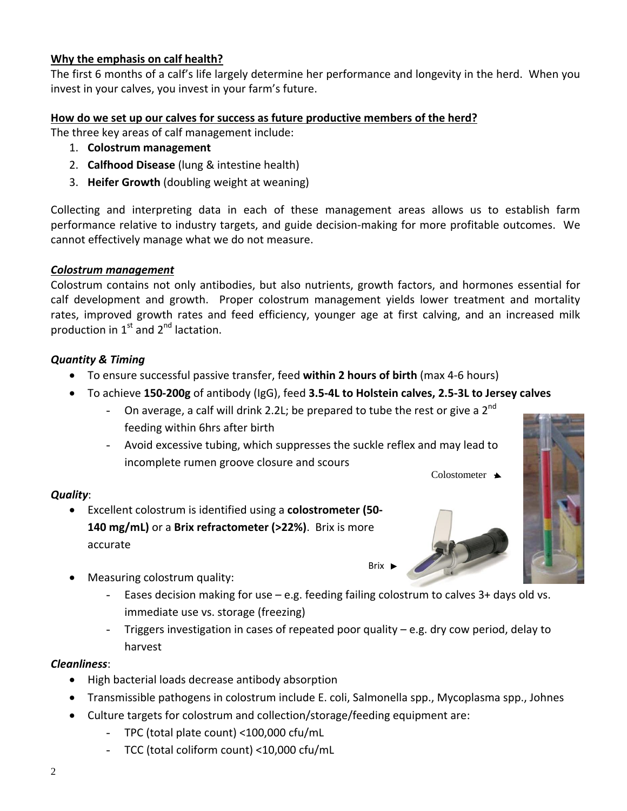#### **Why the emphasis on calf health?**

The first 6 months of a calf's life largely determine her performance and longevity in the herd. When you invest in your calves, you invest in your farm's future.

#### **How do we set up our calves for success as future productive members of the herd?**

The three key areas of calf management include:

- 1. **Colostrum management**
- 2. **Calfhood Disease** (lung & intestine health)
- 3. **Heifer Growth** (doubling weight at weaning)

Collecting and interpreting data in each of these management areas allows us to establish farm performance relative to industry targets, and guide decision-making for more profitable outcomes. We cannot effectively manage what we do not measure.

#### *Colostrum management*

Colostrum contains not only antibodies, but also nutrients, growth factors, and hormones essential for calf development and growth. Proper colostrum management yields lower treatment and mortality rates, improved growth rates and feed efficiency, younger age at first calving, and an increased milk production in  $1^{st}$  and  $2^{nd}$  lactation.

#### *Quantity & Timing*

- To ensure successful passive transfer, feed **within 2 hours of birth** (max 4-6 hours)
- To achieve **150-200g** of antibody (IgG), feed **3.5-4L to Holstein calves, 2.5-3L to Jersey calves**
	- On average, a calf will drink 2.2L; be prepared to tube the rest or give a  $2^{nd}$ feeding within 6hrs after birth
	- Avoid excessive tubing, which suppresses the suckle reflex and may lead to incomplete rumen groove closure and scours

#### *Quality*:

- Excellent colostrum is identified using a **colostrometer (50- 140 mg/mL)** or a **Brix refractometer (>22%)**. Brix is more accurate
- Measuring colostrum quality:
	- Eases decision making for use  $-$  e.g. feeding failing colostrum to calves  $3+$  days old vs. immediate use vs. storage (freezing)

Brix **I** 

Triggers investigation in cases of repeated poor quality  $-$  e.g. dry cow period, delay to harvest

#### *Cleanliness*:

- High bacterial loads decrease antibody absorption
- Transmissible pathogens in colostrum include E. coli, Salmonella spp., Mycoplasma spp., Johnes
- Culture targets for colostrum and collection/storage/feeding equipment are:
	- TPC (total plate count) <100,000 cfu/mL
	- TCC (total coliform count) <10,000 cfu/mL



Colostometer  $\triangle$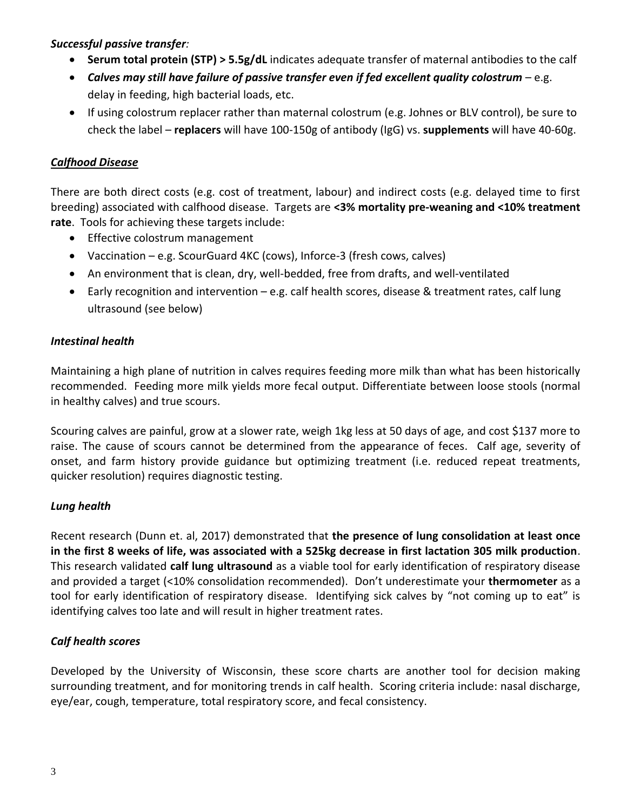#### *Successful passive transfer:*

- **Serum total protein (STP) > 5.5g/dL** indicates adequate transfer of maternal antibodies to the calf
- *Calves may still have failure of passive transfer even if fed excellent quality colostrum* e.g. delay in feeding, high bacterial loads, etc.
- If using colostrum replacer rather than maternal colostrum (e.g. Johnes or BLV control), be sure to check the label – **replacers** will have 100-150g of antibody (IgG) vs. **supplements** will have 40-60g.

# *Calfhood Disease*

There are both direct costs (e.g. cost of treatment, labour) and indirect costs (e.g. delayed time to first breeding) associated with calfhood disease. Targets are **<3% mortality pre-weaning and <10% treatment rate**. Tools for achieving these targets include:

- Effective colostrum management
- Vaccination e.g. ScourGuard 4KC (cows), Inforce-3 (fresh cows, calves)
- An environment that is clean, dry, well-bedded, free from drafts, and well-ventilated
- Early recognition and intervention e.g. calf health scores, disease & treatment rates, calf lung ultrasound (see below)

# *Intestinal health*

Maintaining a high plane of nutrition in calves requires feeding more milk than what has been historically recommended. Feeding more milk yields more fecal output. Differentiate between loose stools (normal in healthy calves) and true scours.

Scouring calves are painful, grow at a slower rate, weigh 1kg less at 50 days of age, and cost \$137 more to raise. The cause of scours cannot be determined from the appearance of feces. Calf age, severity of onset, and farm history provide guidance but optimizing treatment (i.e. reduced repeat treatments, quicker resolution) requires diagnostic testing.

# *Lung health*

Recent research (Dunn et. al, 2017) demonstrated that **the presence of lung consolidation at least once in the first 8 weeks of life, was associated with a 525kg decrease in first lactation 305 milk production**. This research validated **calf lung ultrasound** as a viable tool for early identification of respiratory disease and provided a target (<10% consolidation recommended). Don't underestimate your **thermometer** as a tool for early identification of respiratory disease. Identifying sick calves by "not coming up to eat" is identifying calves too late and will result in higher treatment rates.

#### *Calf health scores*

Developed by the University of Wisconsin, these score charts are another tool for decision making surrounding treatment, and for monitoring trends in calf health. Scoring criteria include: nasal discharge, eye/ear, cough, temperature, total respiratory score, and fecal consistency.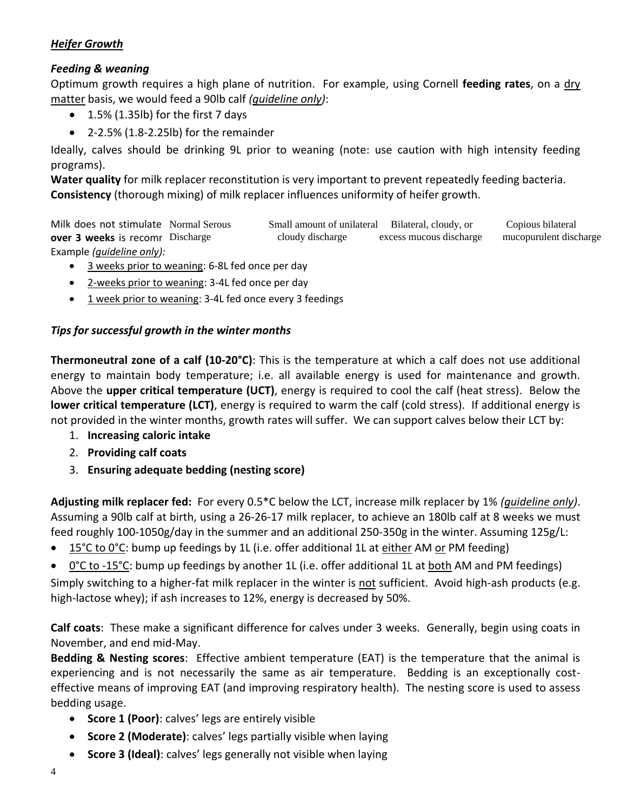#### *Heifer Growth*

# *Feeding & weaning*

Optimum growth requires a high plane of nutrition. For example, using Cornell **feeding rates**, on a dry matter basis, we would feed a 90lb calf *(guideline only)*:

- $\bullet$  1.5% (1.35lb) for the first 7 days
- 2-2.5% (1.8-2.25lb) for the remainder

Ideally, calves should be drinking 9L prior to weaning (note: use caution with high intensity feeding programs).

**Water quality** for milk replacer reconstitution is very important to prevent repeatedly feeding bacteria. **Consistency** (thorough mixing) of milk replacer influences uniformity of heifer growth.

Milk does not stimulate Normal Serous Small amount of unilateral Bilateral, cloudy, or Copious bilateral **over 3 weeks** is recommended. Discharge in growth and encourage in growth and encourage in growth and encourage cross-Example *(guideline only):* excess mucous discharge

- 3 weeks prior to weaning: 6-8L fed once per day
- 2-weeks prior to weaning: 3-4L fed once per day
- 1 week prior to weaning: 3-4L fed once every 3 feedings

# *Tips for successful growth in the winter months*

**Thermoneutral zone of a calf (10-20°C)**: This is the temperature at which a calf does not use additional energy to maintain body temperature; i.e. all available energy is used for maintenance and growth. Above the **upper critical temperature (UCT)**, energy is required to cool the calf (heat stress). Below the **lower critical temperature (LCT)**, energy is required to warm the calf (cold stress). If additional energy is not provided in the winter months, growth rates will suffer. We can support calves below their LCT by:

- 1. **Increasing caloric intake**
- 2. **Providing calf coats**
- 3. **Ensuring adequate bedding (nesting score)**

**Adjusting milk replacer fed:** For every 0.5\*C below the LCT, increase milk replacer by 1% *(guideline only)*. Assuming a 90lb calf at birth, using a 26-26-17 milk replacer, to achieve an 180lb calf at 8 weeks we must feed roughly 100-1050g/day in the summer and an additional 250-350g in the winter. Assuming 125g/L:

15°C to 0°C: bump up feedings by 1L (i.e. offer additional 1L at either AM or PM feeding)

0°C to -15°C: bump up feedings by another 1L (i.e. offer additional 1L at both AM and PM feedings)

Simply switching to a higher-fat milk replacer in the winter is not sufficient. Avoid high-ash products (e.g. high-lactose whey); if ash increases to 12%, energy is decreased by 50%.

**Calf coats**: These make a significant difference for calves under 3 weeks. Generally, begin using coats in November, and end mid-May.

**Bedding & Nesting scores**: Effective ambient temperature (EAT) is the temperature that the animal is experiencing and is not necessarily the same as air temperature. Bedding is an exceptionally costeffective means of improving EAT (and improving respiratory health). The nesting score is used to assess bedding usage.

- **Score 1 (Poor)**: calves' legs are entirely visible
- **Score 2 (Moderate)**: calves' legs partially visible when laying
- **Score 3 (Ideal)**: calves' legs generally not visible when laying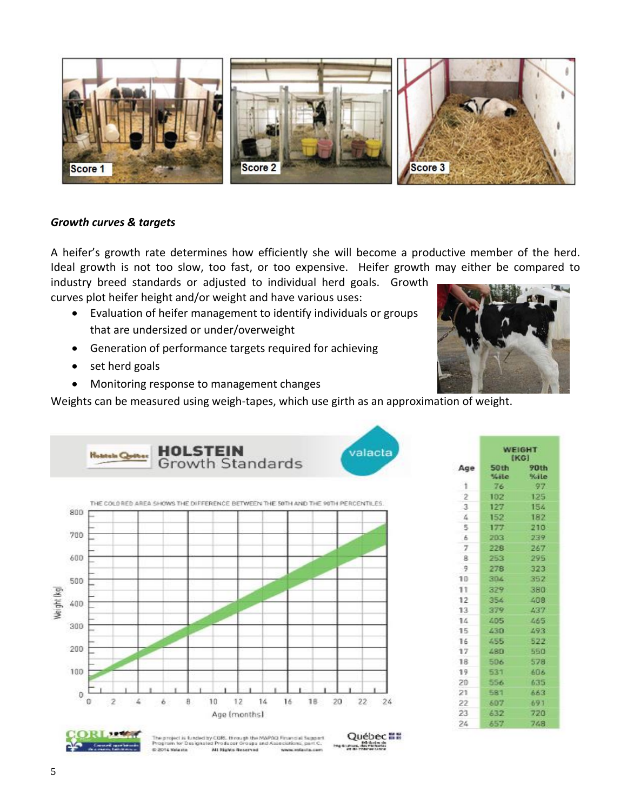

#### *Growth curves & targets*

A heifer's growth rate determines how efficiently she will become a productive member of the herd. Ideal growth is not too slow, too fast, or too expensive. Heifer growth may either be compared to industry breed standards or adjusted to individual herd goals. Growth

curves plot heifer height and/or weight and have various uses:

- Evaluation of heifer management to identify individuals or groups that are undersized or under/overweight
- Generation of performance targets required for achieving
- set herd goals
- Monitoring response to management changes

Weights can be measured using weigh-tapes, which use girth as an approximation of weight.





| Age            | <b>WEIGHT</b><br>(KG) |                     |
|----------------|-----------------------|---------------------|
|                | 50th<br>%ile          | <b>90th</b><br>%ile |
| 1              | 76                    | -97                 |
| $\overline{2}$ | 102                   | 125                 |
| $\mathbf{3}$   | 127                   | 154                 |
| 4              | 152                   | 182                 |
| 5              | 177                   | 210                 |
| 6              | 203                   | 239                 |
| $\tau$         | 228                   | 267                 |
| $\mathbf{R}$   | 253                   | 295                 |
| -9             | 278                   | 323                 |
| 10             | 304                   | 352                 |
| 11             | 329                   | 380                 |
| 12             | 354.                  | 408                 |
| 13             | 379                   | 437                 |
| ì4             | 405                   | 465                 |
| 15             | 430                   | 493                 |
| 16             | 455                   | 522                 |
| 17             | 480                   | 550                 |
| 18             | 506                   | 578                 |
| 19             | 531                   | 686                 |
| 20.            | 556                   | 635                 |
| 21             | 581                   | 663                 |
| 22             | 607                   | 691                 |
| 23             | 632                   | 720                 |
| 24             | 657                   | 748                 |